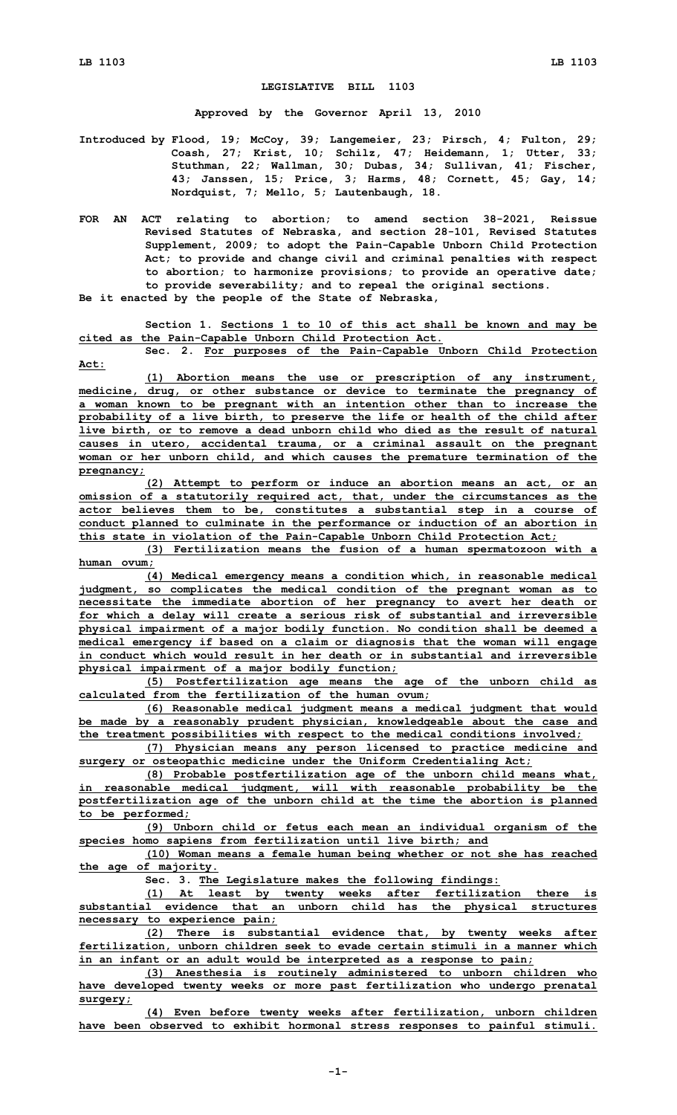## **LEGISLATIVE BILL 1103**

**Approved by the Governor April 13, 2010**

**Introduced by Flood, 19; McCoy, 39; Langemeier, 23; Pirsch, 4; Fulton, 29; Coash, 27; Krist, 10; Schilz, 47; Heidemann, 1; Utter, 33; Stuthman, 22; Wallman, 30; Dubas, 34; Sullivan, 41; Fischer, 43; Janssen, 15; Price, 3; Harms, 48; Cornett, 45; Gay, 14; Nordquist, 7; Mello, 5; Lautenbaugh, 18.**

**FOR AN ACT relating to abortion; to amend section 38-2021, Reissue Revised Statutes of Nebraska, and section 28-101, Revised Statutes Supplement, 2009; to adopt the Pain-Capable Unborn Child Protection Act; to provide and change civil and criminal penalties with respect to abortion; to harmonize provisions; to provide an operative date; to provide severability; and to repeal the original sections.**

**Be it enacted by the people of the State of Nebraska,**

## **Section 1. Sections 1 to 10 of this act shall be known and may be cited as the Pain-Capable Unborn Child Protection Act.**

**Sec. 2. For purposes of the Pain-Capable Unborn Child Protection Act:**

**(1) Abortion means the use or prescription of any instrument, medicine, drug, or other substance or device to terminate the pregnancy of <sup>a</sup> woman known to be pregnant with an intention other than to increase the probability of <sup>a</sup> live birth, to preserve the life or health of the child after live birth, or to remove <sup>a</sup> dead unborn child who died as the result of natural causes in utero, accidental trauma, or <sup>a</sup> criminal assault on the pregnant woman or her unborn child, and which causes the premature termination of the pregnancy;**

**(2) Attempt to perform or induce an abortion means an act, or an omission of <sup>a</sup> statutorily required act, that, under the circumstances as the actor believes them to be, constitutes <sup>a</sup> substantial step in <sup>a</sup> course of conduct planned to culminate in the performance or induction of an abortion in this state in violation of the Pain-Capable Unborn Child Protection Act;**

**(3) Fertilization means the fusion of <sup>a</sup> human spermatozoon with <sup>a</sup> human ovum;**

**(4) Medical emergency means <sup>a</sup> condition which, in reasonable medical judgment, so complicates the medical condition of the pregnant woman as to necessitate the immediate abortion of her pregnancy to avert her death or for which <sup>a</sup> delay will create <sup>a</sup> serious risk of substantial and irreversible physical impairment of <sup>a</sup> major bodily function. No condition shall be deemed <sup>a</sup> medical emergency if based on <sup>a</sup> claim or diagnosis that the woman will engage in conduct which would result in her death or in substantial and irreversible physical impairment of <sup>a</sup> major bodily function;**

**(5) Postfertilization age means the age of the unborn child as calculated from the fertilization of the human ovum;**

**(6) Reasonable medical judgment means <sup>a</sup> medical judgment that would be made by <sup>a</sup> reasonably prudent physician, knowledgeable about the case and the treatment possibilities with respect to the medical conditions involved;**

**(7) Physician means any person licensed to practice medicine and surgery or osteopathic medicine under the Uniform Credentialing Act;**

**(8) Probable postfertilization age of the unborn child means what, in reasonable medical judgment, will with reasonable probability be the postfertilization age of the unborn child at the time the abortion is planned to be performed;**

**(9) Unborn child or fetus each mean an individual organism of the species homo sapiens from fertilization until live birth; and**

**(10) Woman means <sup>a</sup> female human being whether or not she has reached the age of majority.**

**Sec. 3. The Legislature makes the following findings:**

**(1) At least by twenty weeks after fertilization there is substantial evidence that an unborn child has the physical structures necessary to experience pain;**

**(2) There is substantial evidence that, by twenty weeks after fertilization, unborn children seek to evade certain stimuli in <sup>a</sup> manner which in an infant or an adult would be interpreted as <sup>a</sup> response to pain;**

**(3) Anesthesia is routinely administered to unborn children who have developed twenty weeks or more past fertilization who undergo prenatal surgery;**

**(4) Even before twenty weeks after fertilization, unborn children have been observed to exhibit hormonal stress responses to painful stimuli.**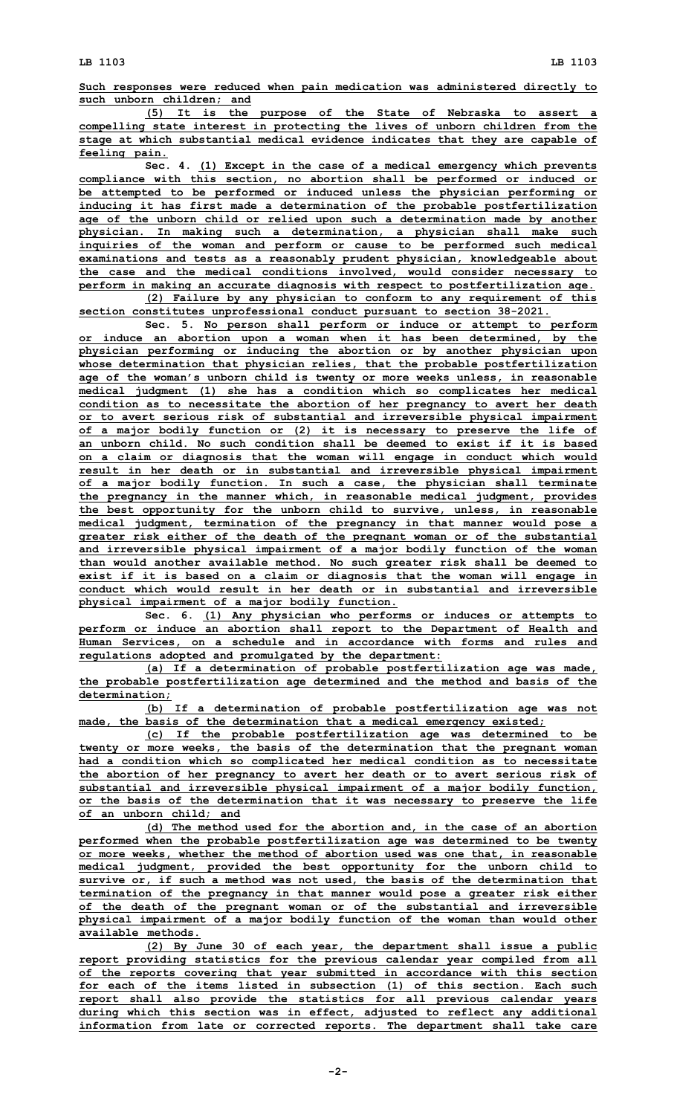**Such responses were reduced when pain medication was administered directly to such unborn children; and**

**(5) It is the purpose of the State of Nebraska to assert <sup>a</sup> compelling state interest in protecting the lives of unborn children from the stage at which substantial medical evidence indicates that they are capable of feeling pain.**

**Sec. 4. (1) Except in the case of <sup>a</sup> medical emergency which prevents compliance with this section, no abortion shall be performed or induced or be attempted to be performed or induced unless the physician performing or inducing it has first made <sup>a</sup> determination of the probable postfertilization age of the unborn child or relied upon such <sup>a</sup> determination made by another physician. In making such <sup>a</sup> determination, <sup>a</sup> physician shall make such inquiries of the woman and perform or cause to be performed such medical examinations and tests as <sup>a</sup> reasonably prudent physician, knowledgeable about the case and the medical conditions involved, would consider necessary to perform in making an accurate diagnosis with respect to postfertilization age.**

**(2) Failure by any physician to conform to any requirement of this section constitutes unprofessional conduct pursuant to section 38-2021.**

**Sec. 5. No person shall perform or induce or attempt to perform or induce an abortion upon <sup>a</sup> woman when it has been determined, by the physician performing or inducing the abortion or by another physician upon whose determination that physician relies, that the probable postfertilization age of the woman's unborn child is twenty or more weeks unless, in reasonable medical judgment (1) she has <sup>a</sup> condition which so complicates her medical condition as to necessitate the abortion of her pregnancy to avert her death or to avert serious risk of substantial and irreversible physical impairment of <sup>a</sup> major bodily function or (2) it is necessary to preserve the life of an unborn child. No such condition shall be deemed to exist if it is based on <sup>a</sup> claim or diagnosis that the woman will engage in conduct which would result in her death or in substantial and irreversible physical impairment of <sup>a</sup> major bodily function. In such <sup>a</sup> case, the physician shall terminate the pregnancy in the manner which, in reasonable medical judgment, provides the best opportunity for the unborn child to survive, unless, in reasonable medical judgment, termination of the pregnancy in that manner would pose <sup>a</sup> greater risk either of the death of the pregnant woman or of the substantial and irreversible physical impairment of <sup>a</sup> major bodily function of the woman than would another available method. No such greater risk shall be deemed to exist if it is based on <sup>a</sup> claim or diagnosis that the woman will engage in conduct which would result in her death or in substantial and irreversible physical impairment of <sup>a</sup> major bodily function.**

**Sec. 6. (1) Any physician who performs or induces or attempts to perform or induce an abortion shall report to the Department of Health and Human Services, on <sup>a</sup> schedule and in accordance with forms and rules and regulations adopted and promulgated by the department:**

**(a) If <sup>a</sup> determination of probable postfertilization age was made, the probable postfertilization age determined and the method and basis of the determination;**

**(b) If <sup>a</sup> determination of probable postfertilization age was not made, the basis of the determination that <sup>a</sup> medical emergency existed;**

**(c) If the probable postfertilization age was determined to be twenty or more weeks, the basis of the determination that the pregnant woman had <sup>a</sup> condition which so complicated her medical condition as to necessitate the abortion of her pregnancy to avert her death or to avert serious risk of substantial and irreversible physical impairment of <sup>a</sup> major bodily function, or the basis of the determination that it was necessary to preserve the life of an unborn child; and**

**(d) The method used for the abortion and, in the case of an abortion performed when the probable postfertilization age was determined to be twenty or more weeks, whether the method of abortion used was one that, in reasonable medical judgment, provided the best opportunity for the unborn child to survive or, if such <sup>a</sup> method was not used, the basis of the determination that termination of the pregnancy in that manner would pose <sup>a</sup> greater risk either of the death of the pregnant woman or of the substantial and irreversible physical impairment of <sup>a</sup> major bodily function of the woman than would other available methods.**

**(2) By June 30 of each year, the department shall issue <sup>a</sup> public report providing statistics for the previous calendar year compiled from all of the reports covering that year submitted in accordance with this section for each of the items listed in subsection (1) of this section. Each such report shall also provide the statistics for all previous calendar years during which this section was in effect, adjusted to reflect any additional information from late or corrected reports. The department shall take care**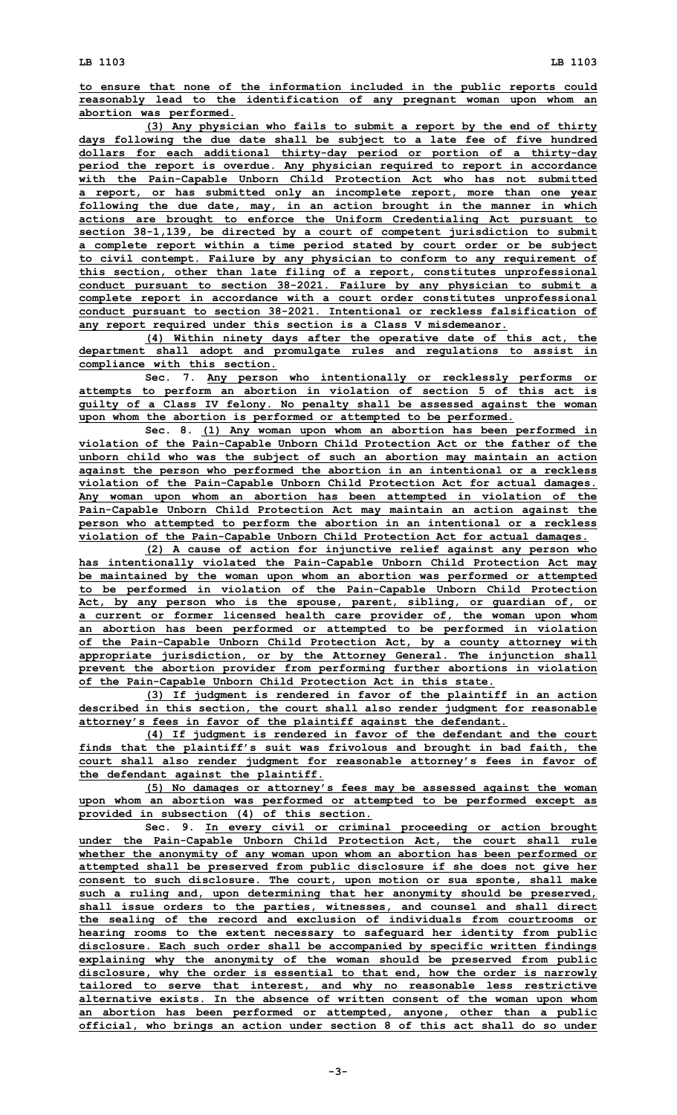**to ensure that none of the information included in the public reports could reasonably lead to the identification of any pregnant woman upon whom an abortion was performed.**

**(3) Any physician who fails to submit <sup>a</sup> report by the end of thirty days following the due date shall be subject to <sup>a</sup> late fee of five hundred dollars for each additional thirty-day period or portion of <sup>a</sup> thirty-day period the report is overdue. Any physician required to report in accordance with the Pain-Capable Unborn Child Protection Act who has not submitted <sup>a</sup> report, or has submitted only an incomplete report, more than one year following the due date, may, in an action brought in the manner in which actions are brought to enforce the Uniform Credentialing Act pursuant to section 38-1,139, be directed by <sup>a</sup> court of competent jurisdiction to submit <sup>a</sup> complete report within <sup>a</sup> time period stated by court order or be subject to civil contempt. Failure by any physician to conform to any requirement of this section, other than late filing of <sup>a</sup> report, constitutes unprofessional conduct pursuant to section 38-2021. Failure by any physician to submit <sup>a</sup> complete report in accordance with <sup>a</sup> court order constitutes unprofessional conduct pursuant to section 38-2021. Intentional or reckless falsification of any report required under this section is <sup>a</sup> Class V misdemeanor.**

**(4) Within ninety days after the operative date of this act, the department shall adopt and promulgate rules and regulations to assist in compliance with this section.**

**Sec. 7. Any person who intentionally or recklessly performs or attempts to perform an abortion in violation of section 5 of this act is guilty of <sup>a</sup> Class IV felony. No penalty shall be assessed against the woman upon whom the abortion is performed or attempted to be performed.**

**Sec. 8. (1) Any woman upon whom an abortion has been performed in violation of the Pain-Capable Unborn Child Protection Act or the father of the unborn child who was the subject of such an abortion may maintain an action against the person who performed the abortion in an intentional or <sup>a</sup> reckless violation of the Pain-Capable Unborn Child Protection Act for actual damages. Any woman upon whom an abortion has been attempted in violation of the Pain-Capable Unborn Child Protection Act may maintain an action against the person who attempted to perform the abortion in an intentional or <sup>a</sup> reckless violation of the Pain-Capable Unborn Child Protection Act for actual damages.**

**(2) <sup>A</sup> cause of action for injunctive relief against any person who has intentionally violated the Pain-Capable Unborn Child Protection Act may be maintained by the woman upon whom an abortion was performed or attempted to be performed in violation of the Pain-Capable Unborn Child Protection Act, by any person who is the spouse, parent, sibling, or guardian of, or <sup>a</sup> current or former licensed health care provider of, the woman upon whom an abortion has been performed or attempted to be performed in violation of the Pain-Capable Unborn Child Protection Act, by <sup>a</sup> county attorney with appropriate jurisdiction, or by the Attorney General. The injunction shall prevent the abortion provider from performing further abortions in violation of the Pain-Capable Unborn Child Protection Act in this state.**

**(3) If judgment is rendered in favor of the plaintiff in an action described in this section, the court shall also render judgment for reasonable attorney's fees in favor of the plaintiff against the defendant.**

**(4) If judgment is rendered in favor of the defendant and the court finds that the plaintiff's suit was frivolous and brought in bad faith, the court shall also render judgment for reasonable attorney's fees in favor of the defendant against the plaintiff.**

**(5) No damages or attorney's fees may be assessed against the woman upon whom an abortion was performed or attempted to be performed except as provided in subsection (4) of this section.**

**Sec. 9. In every civil or criminal proceeding or action brought under the Pain-Capable Unborn Child Protection Act, the court shall rule whether the anonymity of any woman upon whom an abortion has been performed or attempted shall be preserved from public disclosure if she does not give her consent to such disclosure. The court, upon motion or sua sponte, shall make such <sup>a</sup> ruling and, upon determining that her anonymity should be preserved, shall issue orders to the parties, witnesses, and counsel and shall direct the sealing of the record and exclusion of individuals from courtrooms or hearing rooms to the extent necessary to safeguard her identity from public disclosure. Each such order shall be accompanied by specific written findings explaining why the anonymity of the woman should be preserved from public disclosure, why the order is essential to that end, how the order is narrowly tailored to serve that interest, and why no reasonable less restrictive alternative exists. In the absence of written consent of the woman upon whom an abortion has been performed or attempted, anyone, other than <sup>a</sup> public official, who brings an action under section 8 of this act shall do so under**